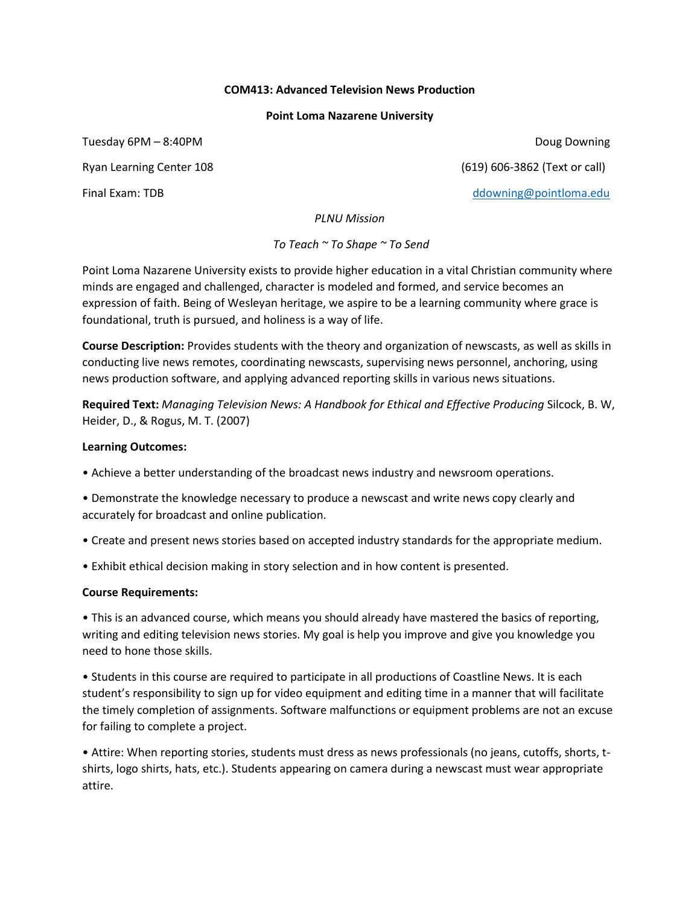## **COM413: Advanced Television News Production**

## **Point Loma Nazarene University**

Tuesday 6PM – 8:40PM Doug Downing

Ryan Learning Center 108 (619) 606-3862 (Text or call)

Final Exam: TDB [ddowning@pointloma.edu](mailto:ddowning@pointloma.edu)

*PLNU Mission*

*To Teach ~ To Shape ~ To Send*

Point Loma Nazarene University exists to provide higher education in a vital Christian community where minds are engaged and challenged, character is modeled and formed, and service becomes an expression of faith. Being of Wesleyan heritage, we aspire to be a learning community where grace is foundational, truth is pursued, and holiness is a way of life.

**Course Description:** Provides students with the theory and organization of newscasts, as well as skills in conducting live news remotes, coordinating newscasts, supervising news personnel, anchoring, using news production software, and applying advanced reporting skills in various news situations.

**Required Text:** *Managing Television News: A Handbook for Ethical and Effective Producing* Silcock, B. W, Heider, D., & Rogus, M. T. (2007)

# **Learning Outcomes:**

• Achieve a better understanding of the broadcast news industry and newsroom operations.

• Demonstrate the knowledge necessary to produce a newscast and write news copy clearly and accurately for broadcast and online publication.

- Create and present news stories based on accepted industry standards for the appropriate medium.
- Exhibit ethical decision making in story selection and in how content is presented.

# **Course Requirements:**

• This is an advanced course, which means you should already have mastered the basics of reporting, writing and editing television news stories. My goal is help you improve and give you knowledge you need to hone those skills.

• Students in this course are required to participate in all productions of Coastline News. It is each student's responsibility to sign up for video equipment and editing time in a manner that will facilitate the timely completion of assignments. Software malfunctions or equipment problems are not an excuse for failing to complete a project.

• Attire: When reporting stories, students must dress as news professionals (no jeans, cutoffs, shorts, tshirts, logo shirts, hats, etc.). Students appearing on camera during a newscast must wear appropriate attire.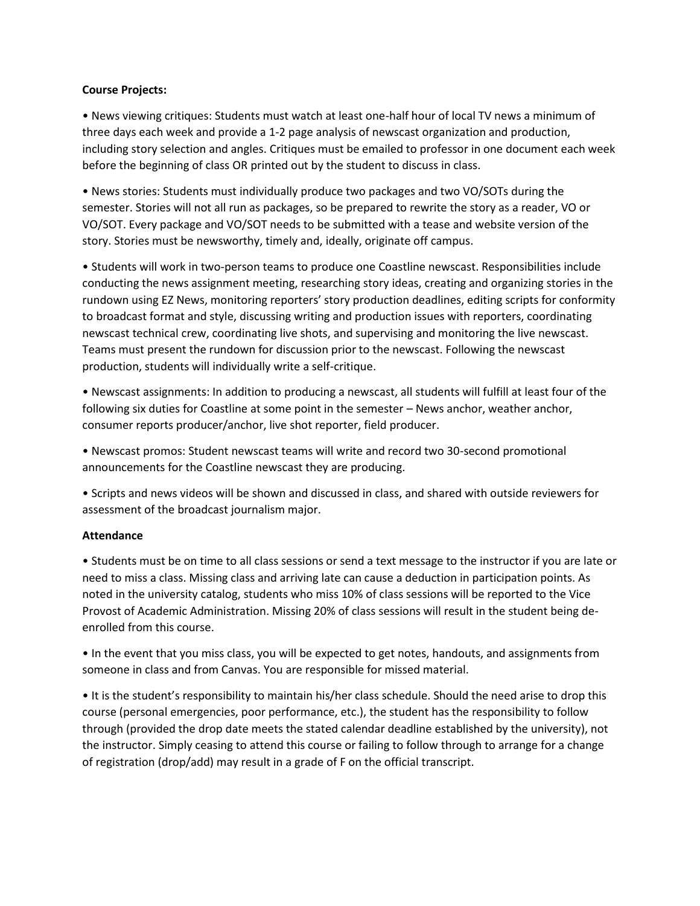# **Course Projects:**

• News viewing critiques: Students must watch at least one-half hour of local TV news a minimum of three days each week and provide a 1-2 page analysis of newscast organization and production, including story selection and angles. Critiques must be emailed to professor in one document each week before the beginning of class OR printed out by the student to discuss in class.

• News stories: Students must individually produce two packages and two VO/SOTs during the semester. Stories will not all run as packages, so be prepared to rewrite the story as a reader, VO or VO/SOT. Every package and VO/SOT needs to be submitted with a tease and website version of the story. Stories must be newsworthy, timely and, ideally, originate off campus.

• Students will work in two-person teams to produce one Coastline newscast. Responsibilities include conducting the news assignment meeting, researching story ideas, creating and organizing stories in the rundown using EZ News, monitoring reporters' story production deadlines, editing scripts for conformity to broadcast format and style, discussing writing and production issues with reporters, coordinating newscast technical crew, coordinating live shots, and supervising and monitoring the live newscast. Teams must present the rundown for discussion prior to the newscast. Following the newscast production, students will individually write a self-critique.

• Newscast assignments: In addition to producing a newscast, all students will fulfill at least four of the following six duties for Coastline at some point in the semester – News anchor, weather anchor, consumer reports producer/anchor, live shot reporter, field producer.

• Newscast promos: Student newscast teams will write and record two 30-second promotional announcements for the Coastline newscast they are producing.

• Scripts and news videos will be shown and discussed in class, and shared with outside reviewers for assessment of the broadcast journalism major.

# **Attendance**

• Students must be on time to all class sessions or send a text message to the instructor if you are late or need to miss a class. Missing class and arriving late can cause a deduction in participation points. As noted in the university catalog, students who miss 10% of class sessions will be reported to the Vice Provost of Academic Administration. Missing 20% of class sessions will result in the student being deenrolled from this course.

• In the event that you miss class, you will be expected to get notes, handouts, and assignments from someone in class and from Canvas. You are responsible for missed material.

• It is the student's responsibility to maintain his/her class schedule. Should the need arise to drop this course (personal emergencies, poor performance, etc.), the student has the responsibility to follow through (provided the drop date meets the stated calendar deadline established by the university), not the instructor. Simply ceasing to attend this course or failing to follow through to arrange for a change of registration (drop/add) may result in a grade of F on the official transcript.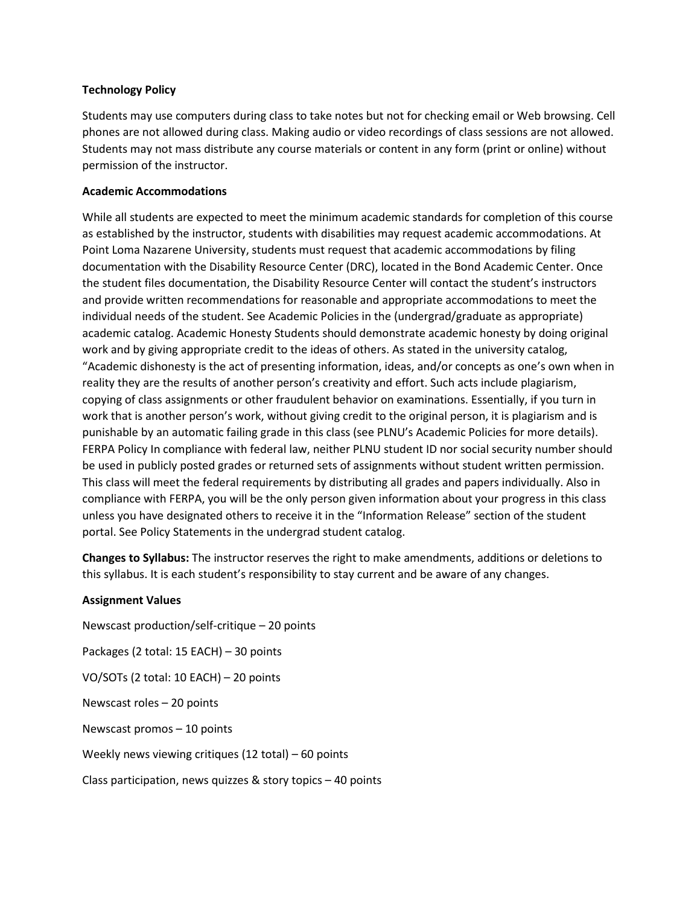# **Technology Policy**

Students may use computers during class to take notes but not for checking email or Web browsing. Cell phones are not allowed during class. Making audio or video recordings of class sessions are not allowed. Students may not mass distribute any course materials or content in any form (print or online) without permission of the instructor.

# **Academic Accommodations**

While all students are expected to meet the minimum academic standards for completion of this course as established by the instructor, students with disabilities may request academic accommodations. At Point Loma Nazarene University, students must request that academic accommodations by filing documentation with the Disability Resource Center (DRC), located in the Bond Academic Center. Once the student files documentation, the Disability Resource Center will contact the student's instructors and provide written recommendations for reasonable and appropriate accommodations to meet the individual needs of the student. See Academic Policies in the (undergrad/graduate as appropriate) academic catalog. Academic Honesty Students should demonstrate academic honesty by doing original work and by giving appropriate credit to the ideas of others. As stated in the university catalog, "Academic dishonesty is the act of presenting information, ideas, and/or concepts as one's own when in reality they are the results of another person's creativity and effort. Such acts include plagiarism, copying of class assignments or other fraudulent behavior on examinations. Essentially, if you turn in work that is another person's work, without giving credit to the original person, it is plagiarism and is punishable by an automatic failing grade in this class (see PLNU's Academic Policies for more details). FERPA Policy In compliance with federal law, neither PLNU student ID nor social security number should be used in publicly posted grades or returned sets of assignments without student written permission. This class will meet the federal requirements by distributing all grades and papers individually. Also in compliance with FERPA, you will be the only person given information about your progress in this class unless you have designated others to receive it in the "Information Release" section of the student portal. See Policy Statements in the undergrad student catalog.

**Changes to Syllabus:** The instructor reserves the right to make amendments, additions or deletions to this syllabus. It is each student's responsibility to stay current and be aware of any changes.

## **Assignment Values**

Newscast production/self-critique – 20 points Packages (2 total: 15 EACH) – 30 points VO/SOTs (2 total: 10 EACH) – 20 points Newscast roles – 20 points Newscast promos – 10 points Weekly news viewing critiques (12 total) – 60 points Class participation, news quizzes & story topics – 40 points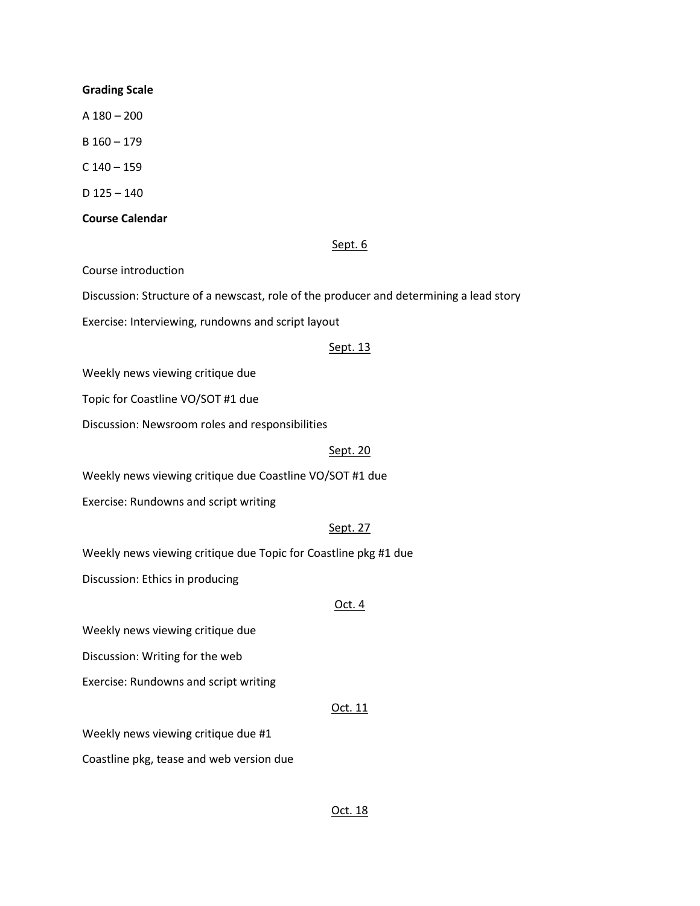#### **Grading Scale**

A 180 – 200

B 160 – 179

 $C$  140 – 159

D 125 – 140

## **Course Calendar**

### Sept. 6

Course introduction

Discussion: Structure of a newscast, role of the producer and determining a lead story

Exercise: Interviewing, rundowns and script layout

### Sept. 13

Weekly news viewing critique due

Topic for Coastline VO/SOT #1 due

Discussion: Newsroom roles and responsibilities

#### Sept. 20

Weekly news viewing critique due Coastline VO/SOT #1 due

Exercise: Rundowns and script writing

## Sept. 27

Weekly news viewing critique due Topic for Coastline pkg #1 due

Discussion: Ethics in producing

# Oct. 4

Weekly news viewing critique due

Discussion: Writing for the web

Exercise: Rundowns and script writing

## Oct. 11

Weekly news viewing critique due #1

Coastline pkg, tease and web version due

# Oct. 18